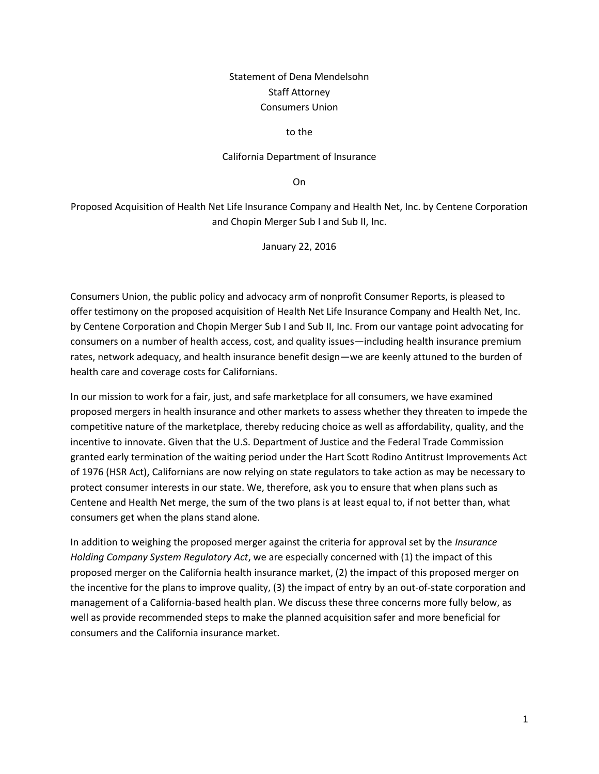# Statement of Dena Mendelsohn Staff Attorney Consumers Union

#### to the

#### California Department of Insurance

On

Proposed Acquisition of Health Net Life Insurance Company and Health Net, Inc. by Centene Corporation and Chopin Merger Sub I and Sub II, Inc.

January 22, 2016

Consumers Union, the public policy and advocacy arm of nonprofit Consumer Reports, is pleased to offer testimony on the proposed acquisition of Health Net Life Insurance Company and Health Net, Inc. by Centene Corporation and Chopin Merger Sub I and Sub II, Inc. From our vantage point advocating for consumers on a number of health access, cost, and quality issues—including health insurance premium rates, network adequacy, and health insurance benefit design—we are keenly attuned to the burden of health care and coverage costs for Californians.

In our mission to work for a fair, just, and safe marketplace for all consumers, we have examined proposed mergers in health insurance and other markets to assess whether they threaten to impede the competitive nature of the marketplace, thereby reducing choice as well as affordability, quality, and the incentive to innovate. Given that the U.S. Department of Justice and the Federal Trade Commission granted early termination of the waiting period under the Hart Scott Rodino Antitrust Improvements Act of 1976 (HSR Act), Californians are now relying on state regulators to take action as may be necessary to protect consumer interests in our state. We, therefore, ask you to ensure that when plans such as Centene and Health Net merge, the sum of the two plans is at least equal to, if not better than, what consumers get when the plans stand alone.

In addition to weighing the proposed merger against the criteria for approval set by the *Insurance Holding Company System Regulatory Act*, we are especially concerned with (1) the impact of this proposed merger on the California health insurance market, (2) the impact of this proposed merger on the incentive for the plans to improve quality, (3) the impact of entry by an out-of-state corporation and management of a California-based health plan. We discuss these three concerns more fully below, as well as provide recommended steps to make the planned acquisition safer and more beneficial for consumers and the California insurance market.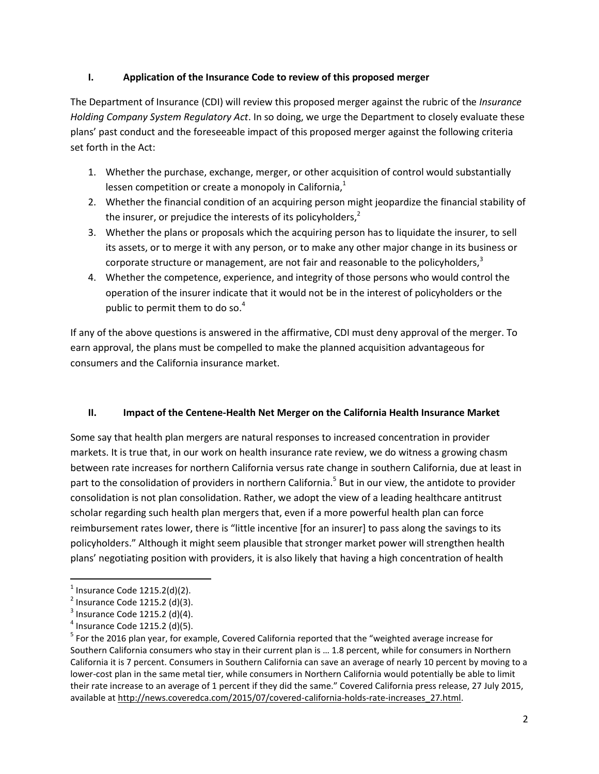## **I. Application of the Insurance Code to review of this proposed merger**

The Department of Insurance (CDI) will review this proposed merger against the rubric of the *Insurance Holding Company System Regulatory Act*. In so doing, we urge the Department to closely evaluate these plans' past conduct and the foreseeable impact of this proposed merger against the following criteria set forth in the Act:

- 1. Whether the purchase, exchange, merger, or other acquisition of control would substantially lessen competition or create a monopoly in California, $<sup>1</sup>$ </sup>
- 2. Whether the financial condition of an acquiring person might jeopardize the financial stability of the insurer, or prejudice the interests of its policyholders, $<sup>2</sup>$ </sup>
- 3. Whether the plans or proposals which the acquiring person has to liquidate the insurer, to sell its assets, or to merge it with any person, or to make any other major change in its business or corporate structure or management, are not fair and reasonable to the policyholders, $3$
- 4. Whether the competence, experience, and integrity of those persons who would control the operation of the insurer indicate that it would not be in the interest of policyholders or the public to permit them to do so. $4$

If any of the above questions is answered in the affirmative, CDI must deny approval of the merger. To earn approval, the plans must be compelled to make the planned acquisition advantageous for consumers and the California insurance market.

## **II. Impact of the Centene-Health Net Merger on the California Health Insurance Market**

Some say that health plan mergers are natural responses to increased concentration in provider markets. It is true that, in our work on health insurance rate review, we do witness a growing chasm between rate increases for northern California versus rate change in southern California, due at least in part to the consolidation of providers in northern California.<sup>5</sup> But in our view, the antidote to provider consolidation is not plan consolidation. Rather, we adopt the view of a leading healthcare antitrust scholar regarding such health plan mergers that, even if a more powerful health plan can force reimbursement rates lower, there is "little incentive [for an insurer] to pass along the savings to its policyholders." Although it might seem plausible that stronger market power will strengthen health plans' negotiating position with providers, it is also likely that having a high concentration of health

 $<sup>1</sup>$  Insurance Code 1215.2(d)(2).</sup>

 $2^{2}$  Insurance Code 1215.2 (d)(3).

 $3$  Insurance Code 1215.2 (d)(4).

 $<sup>4</sup>$  Insurance Code 1215.2 (d)(5).</sup>

<sup>&</sup>lt;sup>5</sup> For the 2016 plan year, for example, Covered California reported that the "weighted average increase for Southern California consumers who stay in their current plan is … 1.8 percent, while for consumers in Northern California it is 7 percent. Consumers in Southern California can save an average of nearly 10 percent by moving to a lower-cost plan in the same metal tier, while consumers in Northern California would potentially be able to limit their rate increase to an average of 1 percent if they did the same." Covered California press release, 27 July 2015, available a[t http://news.coveredca.com/2015/07/covered-california-holds-rate-increases\\_27.html.](http://news.coveredca.com/2015/07/covered-california-holds-rate-increases_27.html)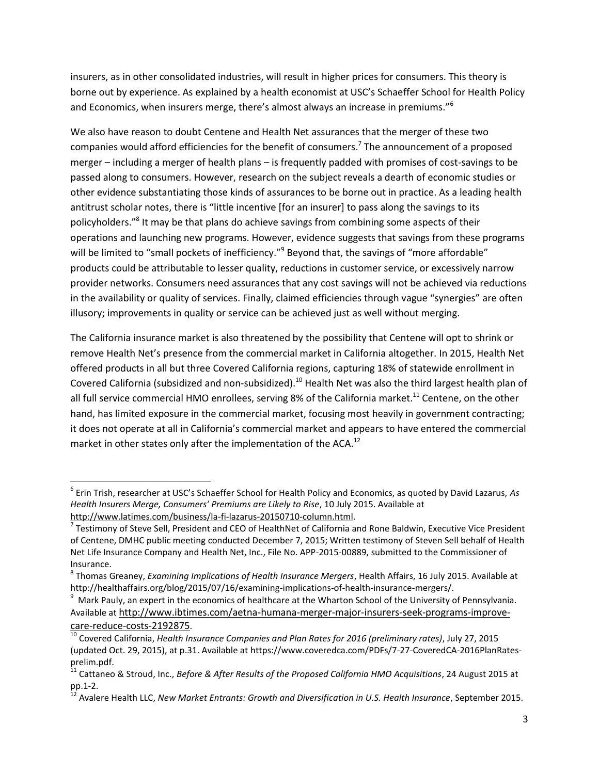insurers, as in other consolidated industries, will result in higher prices for consumers. This theory is borne out by experience. As explained by a health economist at USC's Schaeffer School for Health Policy and Economics, when insurers merge, there's almost always an increase in premiums."<sup>6</sup>

We also have reason to doubt Centene and Health Net assurances that the merger of these two companies would afford efficiencies for the benefit of consumers.<sup>7</sup> The announcement of a proposed merger – including a merger of health plans – is frequently padded with promises of cost-savings to be passed along to consumers. However, research on the subject reveals a dearth of economic studies or other evidence substantiating those kinds of assurances to be borne out in practice. As a leading health antitrust scholar notes, there is "little incentive [for an insurer] to pass along the savings to its policyholders."<sup>8</sup> It may be that plans do achieve savings from combining some aspects of their operations and launching new programs. However, evidence suggests that savings from these programs will be limited to "small pockets of inefficiency."<sup>9</sup> Beyond that, the savings of "more affordable" products could be attributable to lesser quality, reductions in customer service, or excessively narrow provider networks. Consumers need assurances that any cost savings will not be achieved via reductions in the availability or quality of services. Finally, claimed efficiencies through vague "synergies" are often illusory; improvements in quality or service can be achieved just as well without merging.

The California insurance market is also threatened by the possibility that Centene will opt to shrink or remove Health Net's presence from the commercial market in California altogether. In 2015, Health Net offered products in all but three Covered California regions, capturing 18% of statewide enrollment in Covered California (subsidized and non-subsidized).<sup>10</sup> Health Net was also the third largest health plan of all full service commercial HMO enrollees, serving 8% of the California market.<sup>11</sup> Centene, on the other hand, has limited exposure in the commercial market, focusing most heavily in government contracting; it does not operate at all in California's commercial market and appears to have entered the commercial market in other states only after the implementation of the ACA.<sup>12</sup>

<sup>6</sup> Erin Trish, researcher at USC's Schaeffer School for Health Policy and Economics, as quoted by David Lazarus, *As Health Insurers Merge, Consumers' Premiums are Likely to Rise*, 10 July 2015. Available at [http://www.latimes.com/business/la-fi-lazarus-20150710-column.html.](http://www.latimes.com/business/la-fi-lazarus-20150710-column.html)

 $^7$  Testimony of Steve Sell, President and CEO of HealthNet of California and Rone Baldwin, Executive Vice President of Centene, DMHC public meeting conducted December 7, 2015; Written testimony of Steven Sell behalf of Health Net Life Insurance Company and Health Net, Inc., File No. APP-2015-00889, submitted to the Commissioner of Insurance.

<sup>8</sup> Thomas Greaney, *Examining Implications of Health Insurance Mergers*, Health Affairs, 16 July 2015. Available at http://healthaffairs.org/blog/2015/07/16/examining-implications-of-health-insurance-mergers/.

 $^9$  [Mark Pauly,](https://hcmg.wharton.upenn.edu/profile/1518/) an expert in the economics of healthcare at the Wharton School of the University of Pennsylvania. Available at [http://www.ibtimes.com/aetna-humana-merger-major-insurers-seek-programs-improve](http://www.ibtimes.com/aetna-humana-merger-major-insurers-seek-programs-improve-care-reduce-costs-2192875)[care-reduce-costs-2192875](http://www.ibtimes.com/aetna-humana-merger-major-insurers-seek-programs-improve-care-reduce-costs-2192875).

<sup>10</sup> Covered California, *Health Insurance Companies and Plan Rates for 2016 (preliminary rates)*, July 27, 2015 (updated Oct. 29, 2015), at p.31. Available at https://www.coveredca.com/PDFs/7-27-CoveredCA-2016PlanRatesprelim.pdf.

<sup>11</sup> Cattaneo & Stroud, Inc., *Before & After Results of the Proposed California HMO Acquisitions*, 24 August 2015 at pp.1-2.

<sup>12</sup> Avalere Health LLC, *New Market Entrants: Growth and Diversification in U.S. Health Insurance*, September 2015.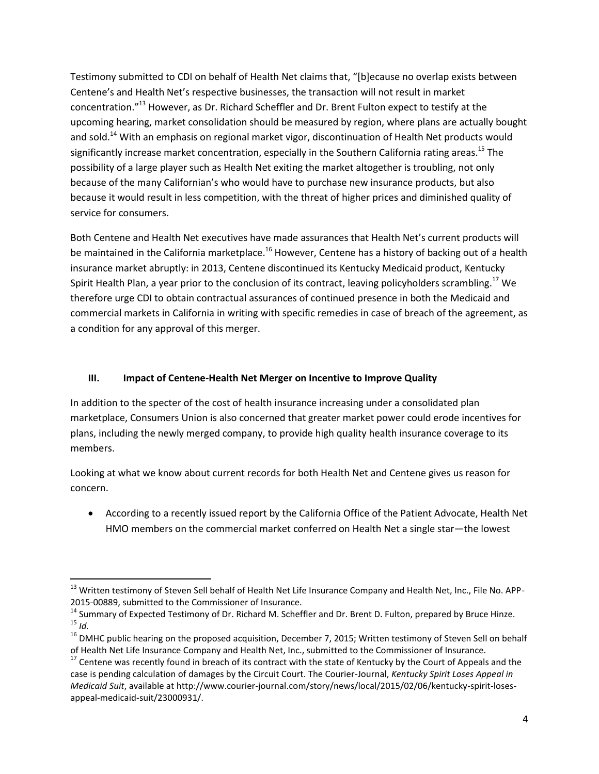Testimony submitted to CDI on behalf of Health Net claims that, "[b]ecause no overlap exists between Centene's and Health Net's respective businesses, the transaction will not result in market concentration."<sup>13</sup> However, as Dr. Richard Scheffler and Dr. Brent Fulton expect to testify at the upcoming hearing, market consolidation should be measured by region, where plans are actually bought and sold.<sup>14</sup> With an emphasis on regional market vigor, discontinuation of Health Net products would significantly increase market concentration, especially in the Southern California rating areas.<sup>15</sup> The possibility of a large player such as Health Net exiting the market altogether is troubling, not only because of the many Californian's who would have to purchase new insurance products, but also because it would result in less competition, with the threat of higher prices and diminished quality of service for consumers.

Both Centene and Health Net executives have made assurances that Health Net's current products will be maintained in the California marketplace.<sup>16</sup> However, Centene has a history of backing out of a health insurance market abruptly: in 2013, Centene discontinued its Kentucky Medicaid product, Kentucky Spirit Health Plan, a year prior to the conclusion of its contract, leaving policyholders scrambling.<sup>17</sup> We therefore urge CDI to obtain contractual assurances of continued presence in both the Medicaid and commercial markets in California in writing with specific remedies in case of breach of the agreement, as a condition for any approval of this merger.

## **III. Impact of Centene-Health Net Merger on Incentive to Improve Quality**

In addition to the specter of the cost of health insurance increasing under a consolidated plan marketplace, Consumers Union is also concerned that greater market power could erode incentives for plans, including the newly merged company, to provide high quality health insurance coverage to its members.

Looking at what we know about current records for both Health Net and Centene gives us reason for concern.

 According to a recently issued report by the California Office of the Patient Advocate, Health Net HMO members on the commercial market conferred on Health Net a single star—the lowest

<sup>&</sup>lt;sup>13</sup> Written testimony of Steven Sell behalf of Health Net Life Insurance Company and Health Net, Inc., File No. APP-2015-00889, submitted to the Commissioner of Insurance.

<sup>&</sup>lt;sup>14</sup> Summary of Expected Testimony of Dr. Richard M. Scheffler and Dr. Brent D. Fulton, prepared by Bruce Hinze. <sup>15</sup> *Id.*

<sup>&</sup>lt;sup>16</sup> DMHC public hearing on the proposed acquisition, December 7, 2015; Written testimony of Steven Sell on behalf of Health Net Life Insurance Company and Health Net, Inc., submitted to the Commissioner of Insurance.

 $17$  Centene was recently found in breach of its contract with the state of Kentucky by the Court of Appeals and the case is pending calculation of damages by the Circuit Court. The Courier-Journal, *Kentucky Spirit Loses Appeal in Medicaid Suit*, available at http://www.courier-journal.com/story/news/local/2015/02/06/kentucky-spirit-losesappeal-medicaid-suit/23000931/.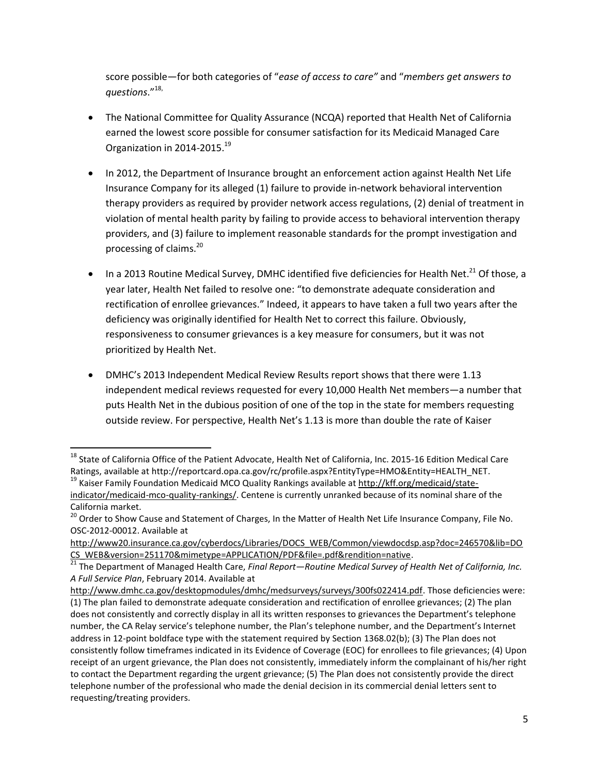score possible—for both categories of "*ease of access to care"* and "*members get answers to questions*." 18,

- The National Committee for Quality Assurance (NCQA) reported that Health Net of California earned the lowest score possible for consumer satisfaction for its Medicaid Managed Care Organization in 2014-2015.<sup>19</sup>
- In 2012, the Department of Insurance brought an enforcement action against Health Net Life Insurance Company for its alleged (1) failure to provide in-network behavioral intervention therapy providers as required by provider network access regulations, (2) denial of treatment in violation of mental health parity by failing to provide access to behavioral intervention therapy providers, and (3) failure to implement reasonable standards for the prompt investigation and processing of claims.<sup>20</sup>
- $\bullet$  In a 2013 Routine Medical Survey, DMHC identified five deficiencies for Health Net.<sup>21</sup> Of those, a year later, Health Net failed to resolve one: "to demonstrate adequate consideration and rectification of enrollee grievances." Indeed, it appears to have taken a full two years after the deficiency was originally identified for Health Net to correct this failure. Obviously, responsiveness to consumer grievances is a key measure for consumers, but it was not prioritized by Health Net.
- DMHC's 2013 Independent Medical Review Results report shows that there were 1.13 independent medical reviews requested for every 10,000 Health Net members—a number that puts Health Net in the dubious position of one of the top in the state for members requesting outside review. For perspective, Health Net's 1.13 is more than double the rate of Kaiser

<sup>&</sup>lt;sup>18</sup> State of California Office of the Patient Advocate, Health Net of California, Inc. 2015-16 Edition Medical Care Ratings, available at http://reportcard.opa.ca.gov/rc/profile.aspx?EntityType=HMO&Entity=HEALTH\_NET. <sup>19</sup> Kaiser Family Foundation Medicaid MCO Quality Rankings available a[t http://kff.org/medicaid/state](http://kff.org/medicaid/state-indicator/medicaid-mco-quality-rankings/)[indicator/medicaid-mco-quality-rankings/.](http://kff.org/medicaid/state-indicator/medicaid-mco-quality-rankings/) Centene is currently unranked because of its nominal share of the California market.

<sup>&</sup>lt;sup>20</sup> Order to Show Cause and Statement of Charges, In the Matter of Health Net Life Insurance Company, File No. OSC-2012-00012. Available at

[http://www20.insurance.ca.gov/cyberdocs/Libraries/DOCS\\_WEB/Common/viewdocdsp.asp?doc=246570&lib=DO](http://www20.insurance.ca.gov/cyberdocs/Libraries/DOCS_WEB/Common/viewdocdsp.asp?doc=246570&lib=DOCS_WEB&version=251170&mimetype=APPLICATION/PDF&file=.pdf&rendition=native) [CS\\_WEB&version=251170&mimetype=APPLICATION/PDF&file=.pdf&rendition=native.](http://www20.insurance.ca.gov/cyberdocs/Libraries/DOCS_WEB/Common/viewdocdsp.asp?doc=246570&lib=DOCS_WEB&version=251170&mimetype=APPLICATION/PDF&file=.pdf&rendition=native) 

<sup>21</sup> The Department of Managed Health Care, *Final Report—Routine Medical Survey of Health Net of California, Inc. A Full Service Plan*, February 2014. Available at

[http://www.dmhc.ca.gov/desktopmodules/dmhc/medsurveys/surveys/300fs022414.pdf.](http://www.dmhc.ca.gov/desktopmodules/dmhc/medsurveys/surveys/300fs022414.pdf) Those deficiencies were: (1) The plan failed to demonstrate adequate consideration and rectification of enrollee grievances; (2) The plan does not consistently and correctly display in all its written responses to grievances the Department's telephone number, the CA Relay service's telephone number, the Plan's telephone number, and the Department's Internet address in 12-point boldface type with the statement required by Section 1368.02(b); (3) The Plan does not consistently follow timeframes indicated in its Evidence of Coverage (EOC) for enrollees to file grievances; (4) Upon receipt of an urgent grievance, the Plan does not consistently, immediately inform the complainant of his/her right to contact the Department regarding the urgent grievance; (5) The Plan does not consistently provide the direct telephone number of the professional who made the denial decision in its commercial denial letters sent to requesting/treating providers.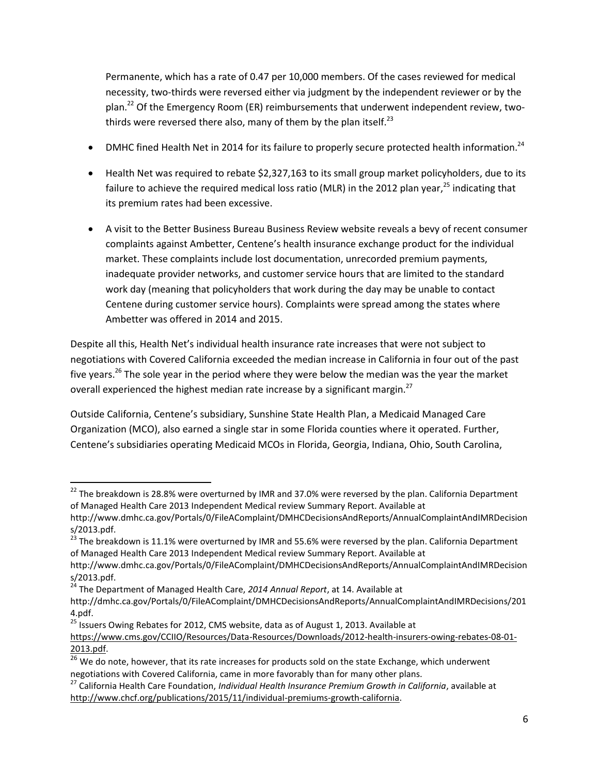Permanente, which has a rate of 0.47 per 10,000 members. Of the cases reviewed for medical necessity, two-thirds were reversed either via judgment by the independent reviewer or by the plan.<sup>22</sup> Of the Emergency Room (ER) reimbursements that underwent independent review, twothirds were reversed there also, many of them by the plan itself. $^{23}$ 

- DMHC fined Health Net in 2014 for its failure to properly secure protected health information.<sup>24</sup>
- Health Net was required to rebate \$2,327,163 to its small group market policyholders, due to its failure to achieve the required medical loss ratio (MLR) in the 2012 plan year,<sup>25</sup> indicating that its premium rates had been excessive.
- A visit to the Better Business Bureau Business Review website reveals a bevy of recent consumer complaints against Ambetter, Centene's health insurance exchange product for the individual market. These complaints include lost documentation, unrecorded premium payments, inadequate provider networks, and customer service hours that are limited to the standard work day (meaning that policyholders that work during the day may be unable to contact Centene during customer service hours). Complaints were spread among the states where Ambetter was offered in 2014 and 2015.

Despite all this, Health Net's individual health insurance rate increases that were not subject to negotiations with Covered California exceeded the median increase in California in four out of the past five years.<sup>26</sup> The sole year in the period where they were below the median was the year the market overall experienced the highest median rate increase by a significant margin.<sup>27</sup>

Outside California, Centene's subsidiary, Sunshine State Health Plan, a Medicaid Managed Care Organization (MCO), also earned a single star in some Florida counties where it operated. Further, Centene's subsidiaries operating Medicaid MCOs in Florida, Georgia, Indiana, Ohio, South Carolina,

 $\overline{a}$ 

<sup>&</sup>lt;sup>22</sup> The breakdown is 28.8% were overturned by IMR and 37.0% were reversed by the plan. California Department of Managed Health Care 2013 Independent Medical review Summary Report. Available at

http://www.dmhc.ca.gov/Portals/0/FileAComplaint/DMHCDecisionsAndReports/AnnualComplaintAndIMRDecision s/2013.pdf.

<sup>&</sup>lt;sup>23</sup> The breakdown is 11.1% were overturned by IMR and 55.6% were reversed by the plan. California Department of Managed Health Care 2013 Independent Medical review Summary Report. Available at

http://www.dmhc.ca.gov/Portals/0/FileAComplaint/DMHCDecisionsAndReports/AnnualComplaintAndIMRDecision s/2013.pdf.

<sup>24</sup> The Department of Managed Health Care, *2014 Annual Report*, at 14. Available at

http://dmhc.ca.gov/Portals/0/FileAComplaint/DMHCDecisionsAndReports/AnnualComplaintAndIMRDecisions/201 4.pdf.

 $25$  Issuers Owing Rebates for 2012, CMS website, data as of August 1, 2013. Available at

[https://www.cms.gov/CCIIO/Resources/Data-Resources/Downloads/2012-health-insurers-owing-rebates-08-01-](https://www.cms.gov/CCIIO/Resources/Data-Resources/Downloads/2012-health-insurers-owing-rebates-08-01-2013.pdf) [2013.pdf.](https://www.cms.gov/CCIIO/Resources/Data-Resources/Downloads/2012-health-insurers-owing-rebates-08-01-2013.pdf)

 $\frac{26}{6}$  We do note, however, that its rate increases for products sold on the state Exchange, which underwent negotiations with Covered California, came in more favorably than for many other plans.

<sup>27</sup> California Health Care Foundation, *Individual Health Insurance Premium Growth in California*, available at [http://www.chcf.org/publications/2015/11/individual-premiums-growth-california.](http://www.chcf.org/publications/2015/11/individual-premiums-growth-california)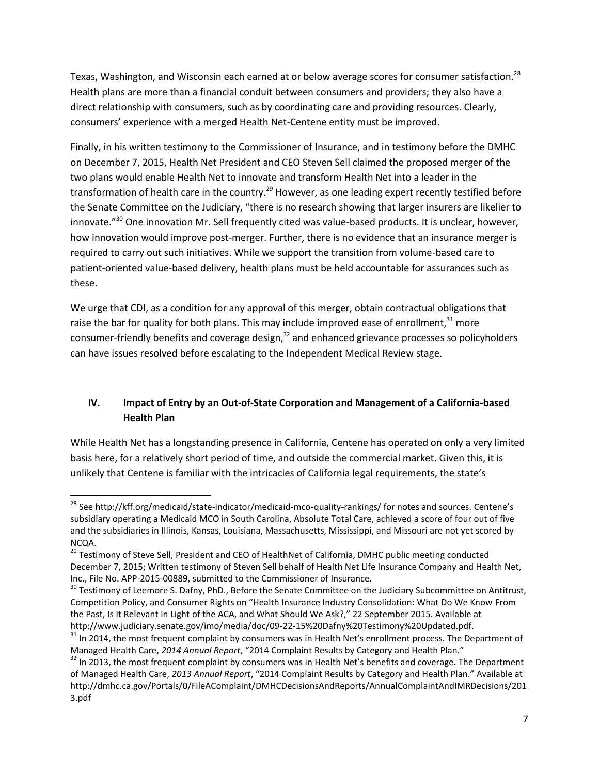Texas, Washington, and Wisconsin each earned at or below average scores for consumer satisfaction.<sup>28</sup> Health plans are more than a financial conduit between consumers and providers; they also have a direct relationship with consumers, such as by coordinating care and providing resources. Clearly, consumers' experience with a merged Health Net-Centene entity must be improved.

Finally, in his written testimony to the Commissioner of Insurance, and in testimony before the DMHC on December 7, 2015, Health Net President and CEO Steven Sell claimed the proposed merger of the two plans would enable Health Net to innovate and transform Health Net into a leader in the transformation of health care in the country.<sup>29</sup> However, as one leading expert recently testified before the Senate Committee on the Judiciary, "there is no research showing that larger insurers are likelier to innovate."<sup>30</sup> One innovation Mr. Sell frequently cited was value-based products. It is unclear, however, how innovation would improve post-merger. Further, there is no evidence that an insurance merger is required to carry out such initiatives. While we support the transition from volume-based care to patient-oriented value-based delivery, health plans must be held accountable for assurances such as these.

We urge that CDI, as a condition for any approval of this merger, obtain contractual obligations that raise the bar for quality for both plans. This may include improved ease of enrollment, $^{31}$  more consumer-friendly benefits and coverage design,<sup>32</sup> and enhanced grievance processes so policyholders can have issues resolved before escalating to the Independent Medical Review stage.

# **IV. Impact of Entry by an Out-of-State Corporation and Management of a California-based Health Plan**

While Health Net has a longstanding presence in California, Centene has operated on only a very limited basis here, for a relatively short period of time, and outside the commercial market. Given this, it is unlikely that Centene is familiar with the intricacies of California legal requirements, the state's

 $\overline{\phantom{a}}$ <sup>28</sup> See http://kff.org/medicaid/state-indicator/medicaid-mco-quality-rankings/ for notes and sources. Centene's subsidiary operating a Medicaid MCO in South Carolina, Absolute Total Care, achieved a score of four out of five and the subsidiaries in Illinois, Kansas, Louisiana, Massachusetts, Mississippi, and Missouri are not yet scored by NCQA.

<sup>&</sup>lt;sup>29</sup> Testimony of Steve Sell, President and CEO of HealthNet of California, DMHC public meeting conducted December 7, 2015; Written testimony of Steven Sell behalf of Health Net Life Insurance Company and Health Net, Inc., File No. APP-2015-00889, submitted to the Commissioner of Insurance.

<sup>&</sup>lt;sup>30</sup> Testimony of Leemore S. Dafny, PhD., Before the Senate Committee on the Judiciary Subcommittee on Antitrust, Competition Policy, and Consumer Rights on "Health Insurance Industry Consolidation: What Do We Know From the Past, Is It Relevant in Light of the ACA, and What Should We Ask?," 22 September 2015. Available at [http://www.judiciary.senate.gov/imo/media/doc/09-22-15%20Dafny%20Testimony%20Updated.pdf.](http://www.judiciary.senate.gov/imo/media/doc/09-22-15%20Dafny%20Testimony%20Updated.pdf)

<sup>&</sup>lt;sup>31</sup> In 2014, the most frequent complaint by consumers was in Health Net's enrollment process. The Department of Managed Health Care, *2014 Annual Report*, "2014 Complaint Results by Category and Health Plan."

<sup>&</sup>lt;sup>32</sup> In 2013, the most frequent complaint by consumers was in Health Net's benefits and coverage. The Department of Managed Health Care, *2013 Annual Report*, "2014 Complaint Results by Category and Health Plan." Available at http://dmhc.ca.gov/Portals/0/FileAComplaint/DMHCDecisionsAndReports/AnnualComplaintAndIMRDecisions/201 3.pdf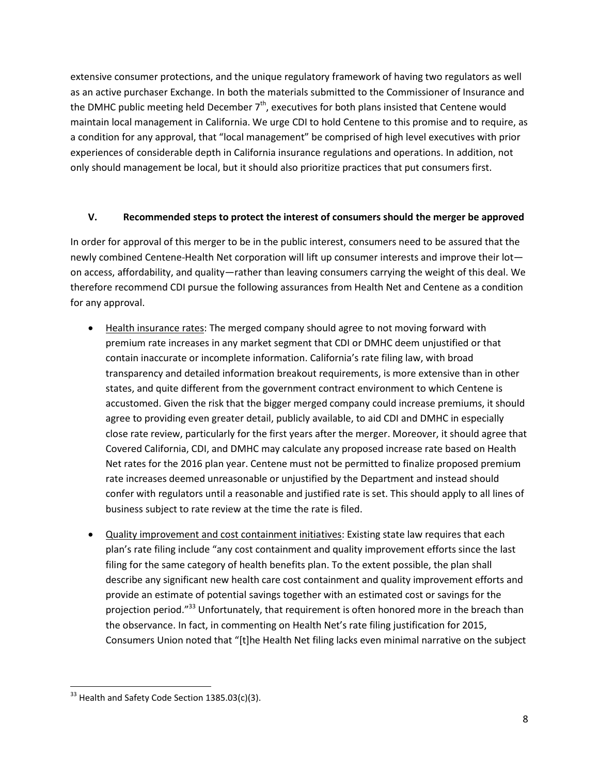extensive consumer protections, and the unique regulatory framework of having two regulators as well as an active purchaser Exchange. In both the materials submitted to the Commissioner of Insurance and the DMHC public meeting held December  $7<sup>th</sup>$ , executives for both plans insisted that Centene would maintain local management in California. We urge CDI to hold Centene to this promise and to require, as a condition for any approval, that "local management" be comprised of high level executives with prior experiences of considerable depth in California insurance regulations and operations. In addition, not only should management be local, but it should also prioritize practices that put consumers first.

## **V. Recommended steps to protect the interest of consumers should the merger be approved**

In order for approval of this merger to be in the public interest, consumers need to be assured that the newly combined Centene-Health Net corporation will lift up consumer interests and improve their lot on access, affordability, and quality—rather than leaving consumers carrying the weight of this deal. We therefore recommend CDI pursue the following assurances from Health Net and Centene as a condition for any approval.

- Health insurance rates: The merged company should agree to not moving forward with premium rate increases in any market segment that CDI or DMHC deem unjustified or that contain inaccurate or incomplete information. California's rate filing law, with broad transparency and detailed information breakout requirements, is more extensive than in other states, and quite different from the government contract environment to which Centene is accustomed. Given the risk that the bigger merged company could increase premiums, it should agree to providing even greater detail, publicly available, to aid CDI and DMHC in especially close rate review, particularly for the first years after the merger. Moreover, it should agree that Covered California, CDI, and DMHC may calculate any proposed increase rate based on Health Net rates for the 2016 plan year. Centene must not be permitted to finalize proposed premium rate increases deemed unreasonable or unjustified by the Department and instead should confer with regulators until a reasonable and justified rate is set. This should apply to all lines of business subject to rate review at the time the rate is filed.
- Quality improvement and cost containment initiatives: Existing state law requires that each plan's rate filing include "any cost containment and quality improvement efforts since the last filing for the same category of health benefits plan. To the extent possible, the plan shall describe any significant new health care cost containment and quality improvement efforts and provide an estimate of potential savings together with an estimated cost or savings for the projection period."<sup>33</sup> Unfortunately, that requirement is often honored more in the breach than the observance. In fact, in commenting on Health Net's rate filing justification for 2015, Consumers Union noted that "[t]he Health Net filing lacks even minimal narrative on the subject

 $\overline{\phantom{a}}$  $33$  Health and Safety Code Section 1385.03(c)(3).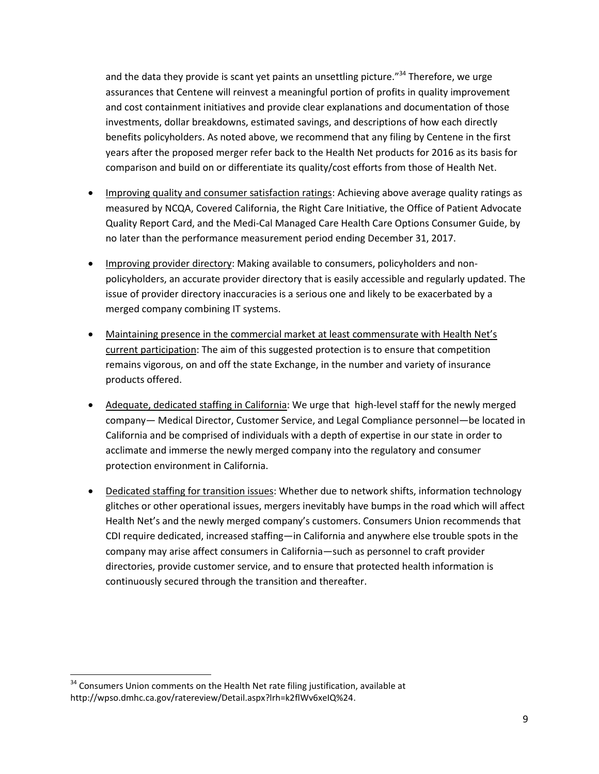and the data they provide is scant yet paints an unsettling picture.<sup>"34</sup> Therefore, we urge assurances that Centene will reinvest a meaningful portion of profits in quality improvement and cost containment initiatives and provide clear explanations and documentation of those investments, dollar breakdowns, estimated savings, and descriptions of how each directly benefits policyholders. As noted above, we recommend that any filing by Centene in the first years after the proposed merger refer back to the Health Net products for 2016 as its basis for comparison and build on or differentiate its quality/cost efforts from those of Health Net.

- Improving quality and consumer satisfaction ratings: Achieving above average quality ratings as measured by NCQA, Covered California, the Right Care Initiative, the Office of Patient Advocate Quality Report Card, and the Medi-Cal Managed Care Health Care Options Consumer Guide, by no later than the performance measurement period ending December 31, 2017.
- Improving provider directory: Making available to consumers, policyholders and nonpolicyholders, an accurate provider directory that is easily accessible and regularly updated. The issue of provider directory inaccuracies is a serious one and likely to be exacerbated by a merged company combining IT systems.
- Maintaining presence in the commercial market at least commensurate with Health Net's current participation: The aim of this suggested protection is to ensure that competition remains vigorous, on and off the state Exchange, in the number and variety of insurance products offered.
- Adequate, dedicated staffing in California: We urge that high-level staff for the newly merged company— Medical Director, Customer Service, and Legal Compliance personnel—be located in California and be comprised of individuals with a depth of expertise in our state in order to acclimate and immerse the newly merged company into the regulatory and consumer protection environment in California.
- Dedicated staffing for transition issues: Whether due to network shifts, information technology glitches or other operational issues, mergers inevitably have bumps in the road which will affect Health Net's and the newly merged company's customers. Consumers Union recommends that CDI require dedicated, increased staffing—in California and anywhere else trouble spots in the company may arise affect consumers in California—such as personnel to craft provider directories, provide customer service, and to ensure that protected health information is continuously secured through the transition and thereafter.

l

<sup>&</sup>lt;sup>34</sup> Consumers Union comments on the Health Net rate filing justification, available at http://wpso.dmhc.ca.gov/ratereview/Detail.aspx?lrh=k2flWv6xeIQ%24.